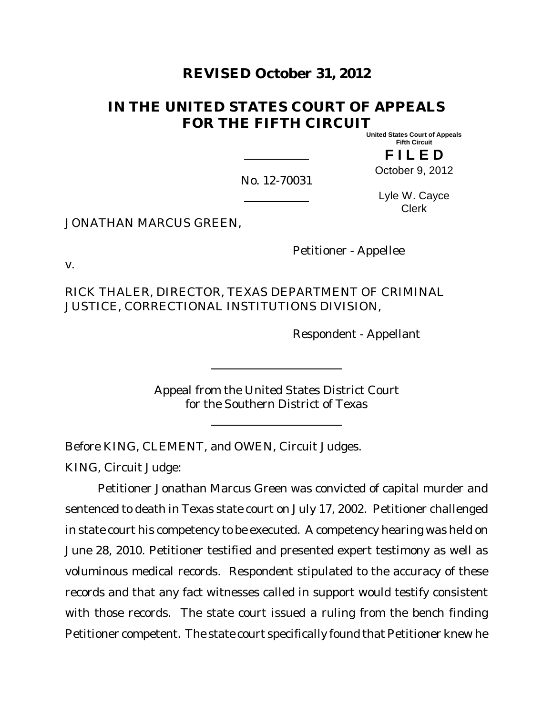# **REVISED October 31, 2012**

# **IN THE UNITED STATES COURT OF APPEALS FOR THE FIFTH CIRCUIT**

**United States Court of Appeals Fifth Circuit**

**F I L E D** October 9, 2012

No. 12-70031

Lyle W. Cayce Clerk

JONATHAN MARCUS GREEN,

Petitioner - Appellee

v.

RICK THALER, DIRECTOR, TEXAS DEPARTMENT OF CRIMINAL JUSTICE, CORRECTIONAL INSTITUTIONS DIVISION,

Respondent - Appellant

Appeal from the United States District Court for the Southern District of Texas

Before KING, CLEMENT, and OWEN, Circuit Judges.

KING, Circuit Judge:

Petitioner Jonathan Marcus Green was convicted of capital murder and sentenced to death in Texas state court on July 17, 2002. Petitioner challenged in state court his competency to be executed. A competency hearing was held on June 28, 2010. Petitioner testified and presented expert testimony as well as voluminous medical records. Respondent stipulated to the accuracy of these records and that any fact witnesses called in support would testify consistent with those records. The state court issued a ruling from the bench finding Petitioner competent. The state court specifically found that Petitioner knew he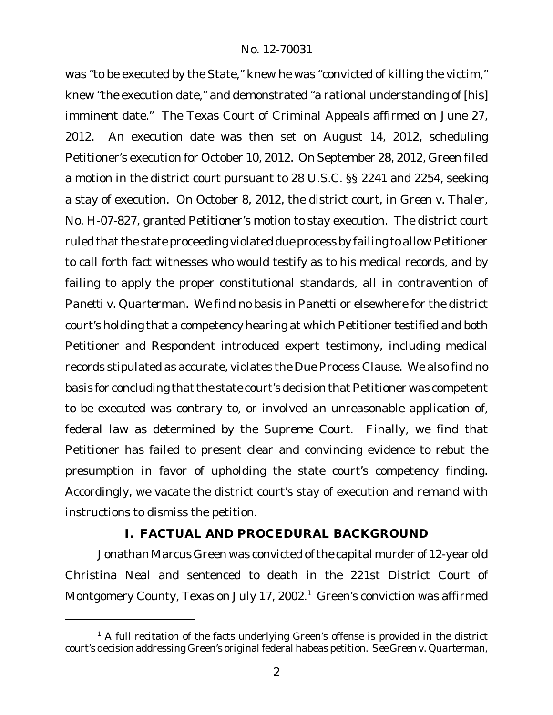was "to be executed by the State," knew he was "convicted of killing the victim," knew "the execution date," and demonstrated "a rational understanding of [his] imminent date." The Texas Court of Criminal Appeals affirmed on June 27, 2012. An execution date was then set on August 14, 2012, scheduling Petitioner's execution for October 10, 2012. On September 28, 2012, Green filed a motion in the district court pursuant to 28 U.S.C. §§ 2241 and 2254, seeking a stay of execution. On October 8, 2012, the district court, in *Green v. Thaler*, No. H-07-827, granted Petitioner's motion to stay execution. The district court ruled that the state proceeding violated due process by failing to allow Petitioner to call forth fact witnesses who would testify as to his medical records, and by failing to apply the proper constitutional standards, all in contravention of *Panetti v. Quarterman*. We find no basis in *Panetti* or elsewhere for the district court's holding that a competency hearing at which Petitioner testified and both Petitioner and Respondent introduced expert testimony, including medical records stipulated as accurate, violates the Due Process Clause. We also find no basis for concluding that the state court's decision that Petitioner was competent to be executed was contrary to, or involved an unreasonable application of, federal law as determined by the Supreme Court. Finally, we find that Petitioner has failed to present clear and convincing evidence to rebut the presumption in favor of upholding the state court's competency finding. Accordingly, we vacate the district court's stay of execution and remand with instructions to dismiss the petition.

# **I. FACTUAL AND PROCEDURAL BACKGROUND**

Jonathan Marcus Green was convicted ofthe capital murder of 12-year old Christina Neal and sentenced to death in the 221st District Court of Montgomery County, Texas on July 17, 2002.<sup>1</sup> Green's conviction was affirmed

 $1$  A full recitation of the facts underlying Green's offense is provided in the district court's decision addressing Green's original federal habeas petition. *See Green v. Quarterman*,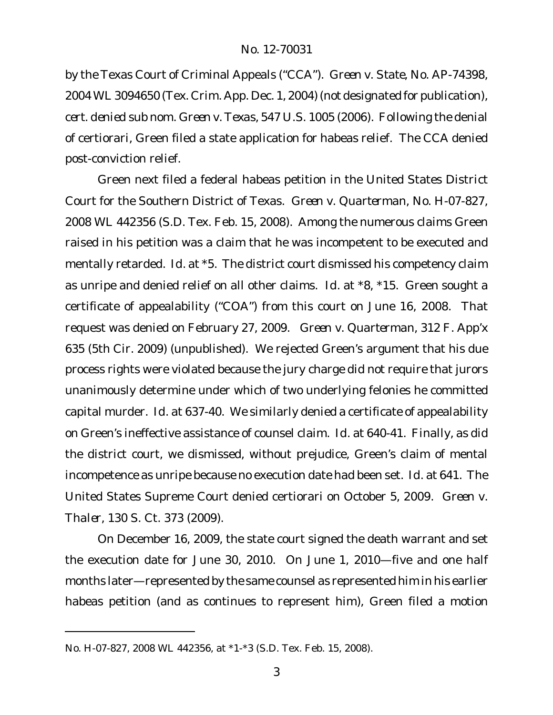by the Texas Court of Criminal Appeals ("CCA"). *Green v. State*, No. AP-74398, 2004 WL3094650 (Tex. Crim. App. Dec. 1, 2004) (not designated for publication), *cert. denied sub nom. Green v. Texas*, 547 U.S. 1005 (2006). Following the denial of certiorari, Green filed a state application for habeas relief. The CCA denied post-conviction relief.

Green next filed a federal habeas petition in the United States District Court for the Southern District of Texas. *Green v. Quarterman*, No. H-07-827, 2008 WL 442356 (S.D. Tex. Feb. 15, 2008). Among the numerous claims Green raised in his petition was a claim that he was incompetent to be executed and mentally retarded. *Id.* at \*5. The district court dismissed his competency claim as unripe and denied relief on all other claims. *Id.* at \*8, \*15. Green sought a certificate of appealability ("COA") from this court on June 16, 2008. That request was denied on February 27, 2009. *Green v. Quarterman*, 312 F. App'x 635 (5th Cir. 2009) (unpublished). We rejected Green's argument that his due process rights were violated because the jury charge did not require that jurors unanimously determine under which of two underlying felonies he committed capital murder. *Id.* at 637-40. We similarly denied a certificate of appealability on Green's ineffective assistance of counsel claim. *Id.* at 640-41. Finally, as did the district court, we dismissed, without prejudice, Green's claim of mental incompetence as unripe because no execution date had been set. *Id.* at 641. The United States Supreme Court denied certiorari on October 5, 2009. *Green v. Thaler*, 130 S. Ct. 373 (2009).

On December 16, 2009, the state court signed the death warrant and set the execution date for June 30, 2010. On June 1, 2010—five and one half months later—represented by the same counsel as represented him in his earlier habeas petition (and as continues to represent him), Green filed a motion

No. H-07-827, 2008 WL 442356, at \*1-\*3 (S.D. Tex. Feb. 15, 2008).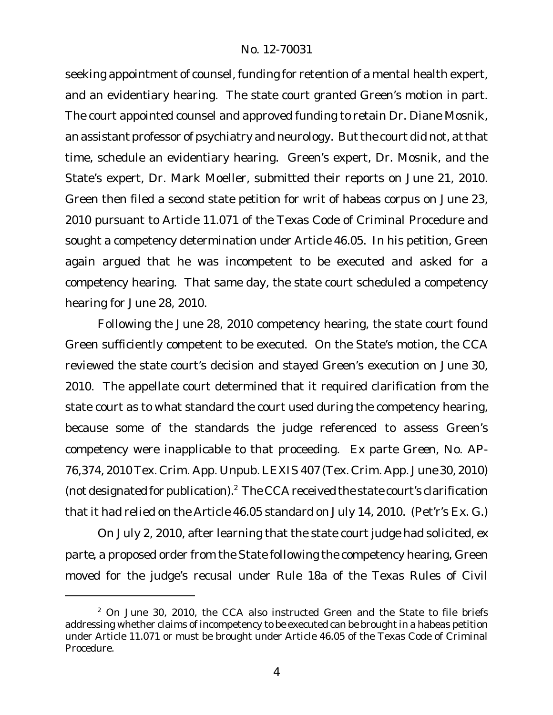seeking appointment of counsel, funding for retention of a mental health expert, and an evidentiary hearing. The state court granted Green's motion in part. The court appointed counsel and approved funding to retain Dr. Diane Mosnik, an assistant professor of psychiatry and neurology. But the court did not, at that time, schedule an evidentiary hearing. Green's expert, Dr. Mosnik, and the State's expert, Dr. Mark Moeller, submitted their reports on June 21, 2010. Green then filed a second state petition for writ of habeas corpus on June 23, 2010 pursuant to Article 11.071 of the Texas Code of Criminal Procedure and sought a competency determination under Article 46.05. In his petition, Green again argued that he was incompetent to be executed and asked for a competency hearing. That same day, the state court scheduled a competency hearing for June 28, 2010.

Following the June 28, 2010 competency hearing, the state court found Green sufficiently competent to be executed. On the State's motion, the CCA reviewed the state court's decision and stayed Green's execution on June 30, 2010. The appellate court determined that it required clarification from the state court as to what standard the court used during the competency hearing, because some of the standards the judge referenced to assess Green's competency were inapplicable to that proceeding. *Ex parte Green*, No. AP-76,374, 2010Tex. Crim. App. Unpub.LEXIS 407 (Tex. Crim. App. June 30, 2010) (not designated for publication).<sup>2</sup> The CCA received the state court's clarification that it had relied on the Article 46.05 standard on July 14, 2010. (Pet'r's Ex. G.)

On July 2, 2010, after learning that the state court judge had solicited, *ex parte*, a proposed order from the State following the competency hearing, Green moved for the judge's recusal under Rule 18a of the Texas Rules of Civil

 $2$  On June 30, 2010, the CCA also instructed Green and the State to file briefs addressing whether claims of incompetency to be executed can be brought in a habeas petition under Article 11.071 or must be brought under Article 46.05 of the Texas Code of Criminal Procedure.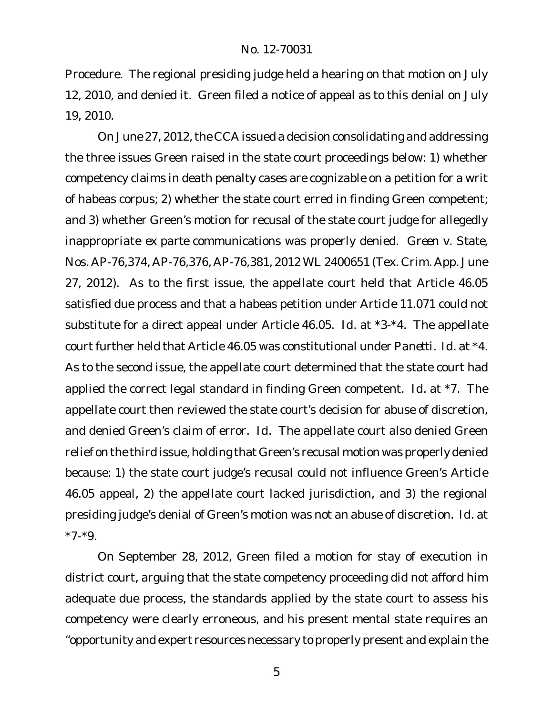Procedure. The regional presiding judge held a hearing on that motion on July 12, 2010, and denied it. Green filed a notice of appeal as to this denial on July 19, 2010.

On June 27, 2012, the CCA issued a decision consolidating and addressing the three issues Green raised in the state court proceedings below: 1) whether competency claims in death penalty cases are cognizable on a petition for a writ of habeas corpus; 2) whether the state court erred in finding Green competent; and 3) whether Green's motion for recusal of the state court judge for allegedly inappropriate *ex parte* communications was properly denied. *Green v. State*, Nos. AP-76,374, AP-76,376, AP-76,381, 2012 WL 2400651 (Tex. Crim. App. June 27, 2012). As to the first issue, the appellate court held that Article 46.05 satisfied due process and that a habeas petition under Article 11.071 could not substitute for a direct appeal under Article 46.05. *Id.* at \*3-\*4. The appellate court further held that Article 46.05 was constitutional under *Panetti*. *Id.* at \*4. As to the second issue, the appellate court determined that the state court had applied the correct legal standard in finding Green competent. *Id.* at \*7. The appellate court then reviewed the state court's decision for abuse of discretion, and denied Green's claim of error. *Id.* The appellate court also denied Green relief on the third issue, holding that Green's recusal motion was properly denied because: 1) the state court judge's recusal could not influence Green's Article 46.05 appeal, 2) the appellate court lacked jurisdiction, and 3) the regional presiding judge's denial of Green's motion was not an abuse of discretion. *Id.* at  $*7-*9.$ 

On September 28, 2012, Green filed a motion for stay of execution in district court, arguing that the state competency proceeding did not afford him adequate due process, the standards applied by the state court to assess his competency were clearly erroneous, and his present mental state requires an "opportunity and expert resources necessary to properly present and explain the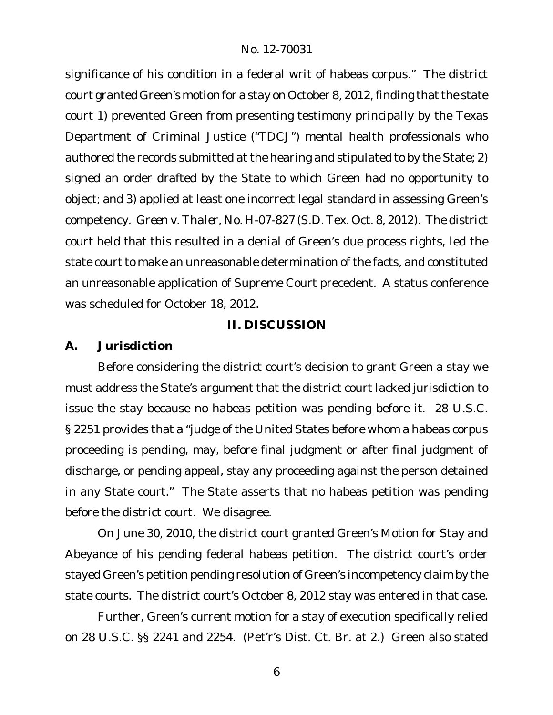significance of his condition in a federal writ of habeas corpus." The district court granted Green's motion for a stay on October 8, 2012, finding that the state court 1) prevented Green from presenting testimony principally by the Texas Department of Criminal Justice ("TDCJ") mental health professionals who authored the records submitted at the hearing and stipulated to by the State; 2) signed an order drafted by the State to which Green had no opportunity to object; and 3) applied at least one incorrect legal standard in assessing Green's competency. *Green v. Thaler*, No. H-07-827 (S.D. Tex. Oct. 8, 2012). The district court held that this resulted in a denial of Green's due process rights, led the state court to make an unreasonable determination of the facts, and constituted an unreasonable application of Supreme Court precedent. A status conference was scheduled for October 18, 2012.

# **II. DISCUSSION**

**A. Jurisdiction**

Before considering the district court's decision to grant Green a stay we must address the State's argument that the district court lacked jurisdiction to issue the stay because no habeas petition was pending before it. 28 U.S.C. § 2251 provides that a "judge of the United States before whom a habeas corpus proceeding is pending, may, before final judgment or after final judgment of discharge, or pending appeal, stay any proceeding against the person detained in any State court." The State asserts that no habeas petition was pending before the district court. We disagree.

On June 30, 2010, the district court granted Green's Motion for Stay and Abeyance of his pending federal habeas petition. The district court's order stayed Green's petition pending resolution of Green's incompetency claim by the state courts. The district court's October 8, 2012 stay was entered in that case.

Further, Green's current motion for a stay of execution specifically relied on 28 U.S.C. §§ 2241 and 2254. (Pet'r's Dist. Ct. Br. at 2.) Green also stated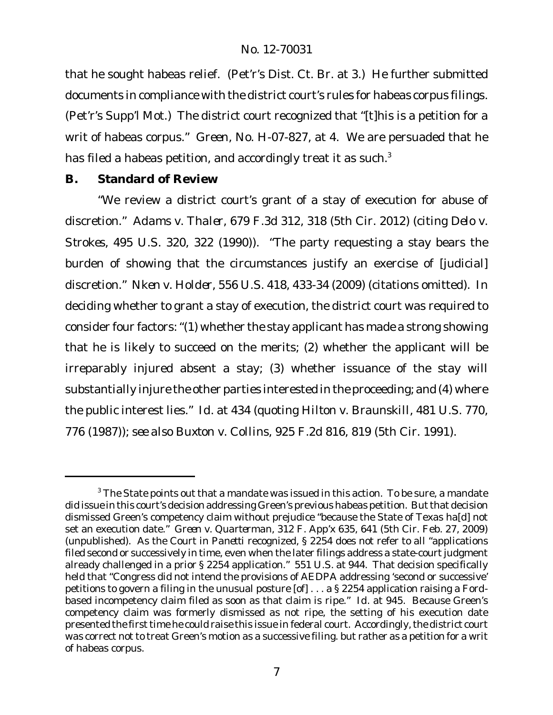that he sought habeas relief. (Pet'r's Dist. Ct. Br. at 3.) He further submitted documents in compliance with the district court's rules for habeas corpus filings. (Pet'r's Supp'l Mot.) The district court recognized that "[t]his is a petition for a writ of habeas corpus." *Green*, No. H-07-827, at 4. We are persuaded that he has filed a habeas petition, and accordingly treat it as such.<sup>3</sup>

**B. Standard of Review**

"We review a district court's grant of a stay of execution for abuse of discretion." *Adams v. Thaler*, 679 F.3d 312, 318 (5th Cir. 2012) (citing *Delo v. Strokes*, 495 U.S. 320, 322 (1990)). "The party requesting a stay bears the burden of showing that the circumstances justify an exercise of [judicial] discretion." *Nken v. Holder*, 556 U.S. 418, 433-34 (2009) (citations omitted). In deciding whether to grant a stay of execution, the district court was required to consider four factors:"(1) whether the stay applicant has made a strong showing that he is likely to succeed on the merits; (2) whether the applicant will be irreparably injured absent a stay; (3) whether issuance of the stay will substantially injure the other parties interested in the proceeding; and (4) where the public interest lies." *Id.* at 434 (quoting *Hilton v. Braunskill*, 481 U.S. 770, 776 (1987)); *see also Buxton v. Collins*, 925 F.2d 816, 819 (5th Cir. 1991).

 $3$  The State points out that a mandate was issued in this action. To be sure, a mandate did issue in this court's decision addressing Green's previous habeas petition. But that decision dismissed Green's competency claim without prejudice "because the State of Texas ha[d] not set an execution date." *Green v. Quarterman*, 312 F. App'x 635, 641 (5th Cir. Feb. 27, 2009) (unpublished). As the Court in *Panetti* recognized, § 2254 does not refer to all "applications filed second or successively in time, even when the later filings address a state-court judgment already challenged in a prior § 2254 application." 551 U.S. at 944. That decision specifically held that "Congress did not intend the provisions of AEDPA addressing 'second or successive' petitions to govern a filing in the unusual posture [of] . . . a § 2254 application raising a *Ford*based incompetency claim filed as soon as that claim is ripe." *Id.* at 945. Because Green's competency claim was formerly dismissed as not ripe, the setting of his execution date presented the first time he could raise this issue in federal court. Accordingly, the district court was correct not to treat Green's motion as a successive filing. but rather as a petition for a writ of habeas corpus.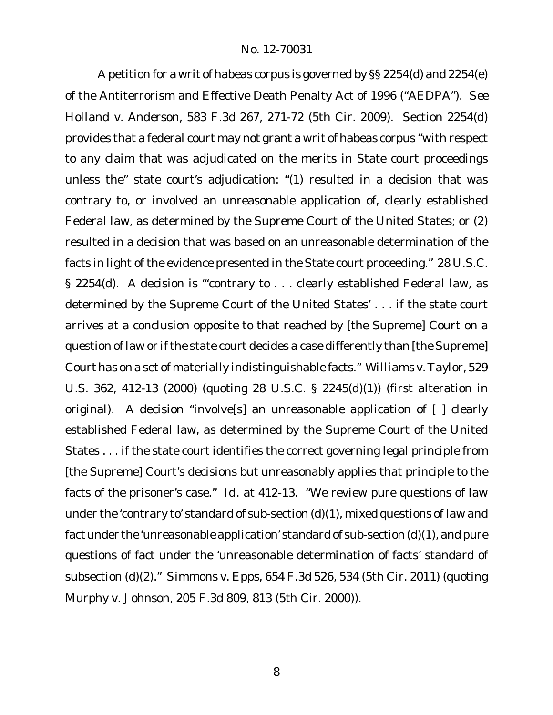A petition for a writ of habeas corpus is governed by §§ 2254(d) and 2254(e) of the Antiterrorism and Effective Death Penalty Act of 1996 ("AEDPA"). *See Holland v. Anderson*, 583 F.3d 267, 271-72 (5th Cir. 2009). Section 2254(d) provides that a federal court may not grant a writ of habeas corpus "with respect to any claim that was adjudicated on the merits in State court proceedings unless the" state court's adjudication: "(1) resulted in a decision that was contrary to, or involved an unreasonable application of, clearly established Federal law, as determined by the Supreme Court of the United States; or (2) resulted in a decision that was based on an unreasonable determination of the facts in light of the evidence presented in the State court proceeding." 28 U.S.C. § 2254(d). A decision is "'contrary to . . . clearly established Federal law, as determined by the Supreme Court of the United States' . . . if the state court arrives at a conclusion opposite to that reached by [the Supreme] Court on a question of law or if the state court decides a case differently than [the Supreme] Court has on a set of materially indistinguishable facts." *Williams v.Taylor*, 529 U.S. 362, 412-13 (2000) (quoting 28 U.S.C. § 2245(d)(1)) (first alteration in original). A decision "involve[s] an unreasonable application of [ ] clearly established Federal law, as determined by the Supreme Court of the United States . . . if the state court identifies the correct governing legal principle from [the Supreme] Court's decisions but unreasonably applies that principle to the facts of the prisoner's case." *Id.* at 412-13. "We review pure questions of law under the 'contrary to' standard of sub-section (d)(1), mixed questions of law and fact under the 'unreasonable application' standard of sub-section (d)(1), and pure questions of fact under the 'unreasonable determination of facts' standard of subsection (d)(2)." *Simmons v. Epps*, 654 F.3d 526, 534 (5th Cir. 2011) (quoting *Murphy v. Johnson*, 205 F.3d 809, 813 (5th Cir. 2000)).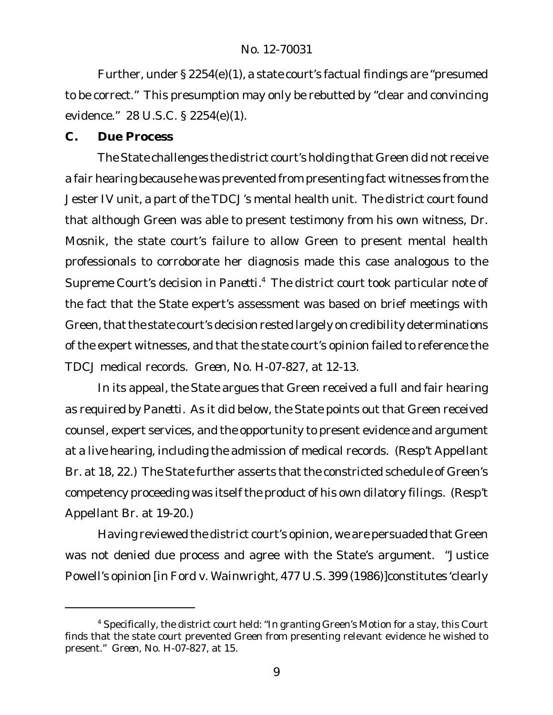Further, under § 2254(e)(1), a state court's factual findings are "presumed to be correct." This presumption may only be rebutted by "clear and convincing evidence." 28 U.S.C. § 2254(e)(1).

**C. Due Process**

The State challenges the district court's holding that Green did not receive a fair hearing because he was prevented from presenting fact witnesses from the Jester IV unit, a part of the TDCJ's mental health unit. The district court found that although Green was able to present testimony from his own witness, Dr. Mosnik, the state court's failure to allow Green to present mental health professionals to corroborate her diagnosis made this case analogous to the Supreme Court's decision in *Panetti*. <sup>4</sup> The district court took particular note of the fact that the State expert's assessment was based on brief meetings with Green, that the state court's decision rested largely on credibility determinations of the expert witnesses, and that the state court's opinion failed to reference the TDCJ medical records. *Green*, No. H-07-827, at 12-13.

In its appeal, the State argues that Green received a full and fair hearing as required by *Panetti*. As it did below, the State points out that Green received counsel, expert services, and the opportunity to present evidence and argument at a live hearing, including the admission of medical records. (Resp't Appellant Br. at 18, 22.) The State further asserts that the constricted schedule of Green's competency proceeding was itself the product of his own dilatory filings. (Resp't Appellant Br. at 19-20.)

Having reviewed the district court's opinion, we are persuaded that Green was not denied due process and agree with the State's argument. "Justice Powell's opinion [in *Ford v. Wainwright*, 477 U.S. 399 (1986)]constitutes 'clearly

<sup>&</sup>lt;sup>4</sup> Specifically, the district court held: "In granting Green's Motion for a stay, this Court finds that the state court prevented Green from presenting relevant evidence he wished to present." *Green*, No. H-07-827, at 15.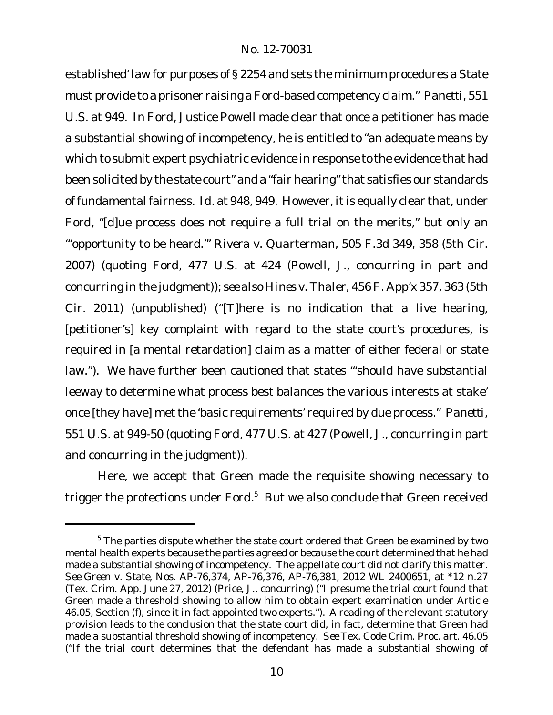established' law for purposes of § 2254 and sets the minimum procedures a State must provide to a prisoner raising a *Ford*-based competency claim." *Panetti*, 551 U.S. at 949. In *Ford*, Justice Powell made clear that once a petitioner has made a substantial showing of incompetency, he is entitled to "an adequate means by which to submit expert psychiatric evidence in response to the evidence that had been solicited by the state court" and a "fair hearing"that satisfies our standards of fundamental fairness. *Id.* at 948, 949. However, it is equally clear that, under *Ford*, "[d]ue process does not require a full trial on the merits," but only an "'opportunity to be heard.'" *Rivera v. Quarterman*, 505 F.3d 349, 358 (5th Cir. 2007) (quoting *Ford*, 477 U.S. at 424 (Powell, J., concurring in part and concurring in the judgment)); *see also Hines v. Thaler*, 456 F. App'x 357, 363 (5th Cir. 2011) (unpublished) ("[T]here is no indication that a *live* hearing, [petitioner's] key complaint with regard to the state court's procedures, is required in [a mental retardation] claim as a matter of either federal or state law."). We have further been cautioned that states "'should have substantial leeway to determine what process best balances the various interests at stake' once [they have] met the 'basic requirements' required by due process." *Panetti*, 551 U.S. at 949-50 (quoting *Ford*, 477 U.S. at 427 (Powell, J., concurring in part and concurring in the judgment)).

Here, we accept that Green made the requisite showing necessary to trigger the protections under *Ford*. <sup>5</sup> But we also conclude that Green received

<sup>&</sup>lt;sup>5</sup> The parties dispute whether the state court ordered that Green be examined by two mental health experts because the parties agreed or because the court determined that he had made a substantial showing of incompetency. The appellate court did not clarify this matter. *See Green v. State*, Nos. AP-76,374, AP-76,376, AP-76,381, 2012 WL 2400651, at \*12 n.27 (Tex. Crim. App. June 27, 2012) (Price, J., concurring) ("I presume the trial court found that Green made a threshold showing to allow him to obtain expert examination under Article 46.05, Section (f), since it in fact appointed two experts."). A reading of the relevant statutory provision leads to the conclusion that the state court did, in fact, determine that Green had made a substantial threshold showing of incompetency. *See* Tex. Code Crim. Proc. art. 46.05 ("If the trial court determines that the defendant has made a substantial showing of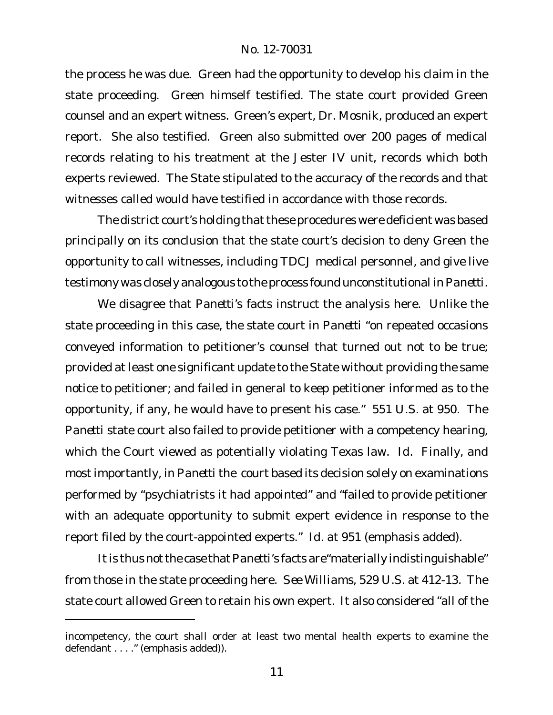the process he was due. Green had the opportunity to develop his claim in the state proceeding. Green himself testified. The state court provided Green counsel and an expert witness. Green's expert, Dr. Mosnik, produced an expert report. She also testified. Green also submitted over 200 pages of medical records relating to his treatment at the Jester IV unit, records which both experts reviewed. The State stipulated to the accuracy of the records and that witnesses called would have testified in accordance with those records.

The district court's holding that these procedures were deficient was based principally on its conclusion that the state court's decision to deny Green the opportunity to call witnesses, including TDCJ medical personnel, and give live testimony was closely analogous to the process found unconstitutional in *Panetti*.

We disagree that *Panetti*'s facts instruct the analysis here. Unlike the state proceeding in this case, the state court in *Panetti* "on repeated occasions conveyed information to petitioner's counsel that turned out not to be true; provided at least one significant update to the State without providing the same notice to petitioner; and failed in general to keep petitioner informed as to the opportunity, if any, he would have to present his case." 551 U.S. at 950. The *Panetti* state court also failed to provide petitioner with a competency hearing, which the Court viewed as potentially violating Texas law. *Id.* Finally, and most importantly, in *Panetti* the court based its decision solely on examinations performed by "psychiatrists *it had appointed*" and "failed to provide petitioner with an adequate opportunity to submit expert evidence in response to the report filed by the court-appointed experts." *Id.* at 951 (emphasis added).

Itis thus not the case that *Panetti*'s facts are"materially indistinguishable" from those in the state proceeding here. *See Williams*, 529 U.S. at 412-13. The state court allowed Green to retain his own expert. It also considered "all of the

incompetency, the court *shall* order at least two mental health experts to examine the defendant . . . . " (emphasis added)).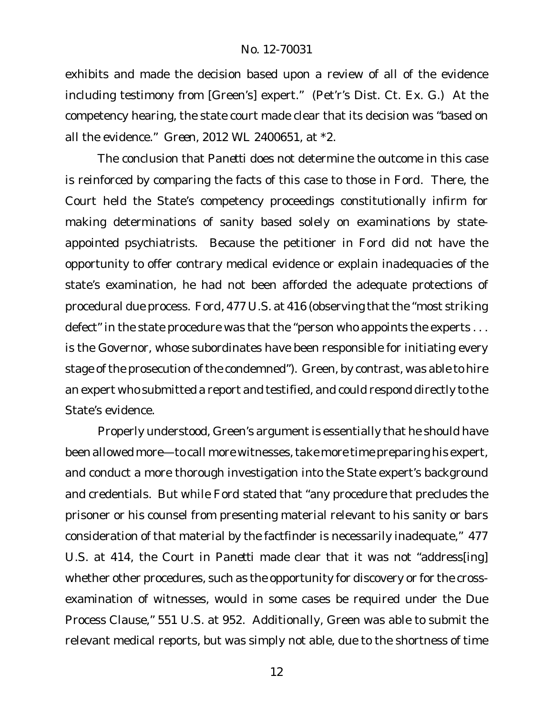exhibits and made the decision based upon a review of all of the evidence including testimony from [Green's] expert." (Pet'r's Dist. Ct. Ex. G.) At the competency hearing, the state court made clear that its decision was "based on all the evidence." *Green*, 2012 WL 2400651, at \*2.

The conclusion that *Panetti* does not determine the outcome in this case is reinforced by comparing the facts of this case to those in *Ford*. There, the Court held the State's competency proceedings constitutionally infirm for making determinations of sanity based solely on examinations by stateappointed psychiatrists. Because the petitioner in *Ford* did not have the opportunity to offer contrary medical evidence or explain inadequacies of the state's examination, he had not been afforded the adequate protections of procedural due process. Ford, 477 U.S. at 416 (observing that the "most striking" defect" in the state procedure was that the "person who appoints the experts . . . is the Governor, whose subordinates have been responsible for initiating every stage of the prosecution of the condemned"). Green, by contrast, was able to hire an expert who submitted a report and testified, and could respond directly to the State's evidence.

Properly understood, Green's argument is essentially that he should have been allowed more—to call more witnesses, take more time preparing his expert, and conduct a more thorough investigation into the State expert's background and credentials. But while *Ford* stated that "any procedure that precludes the prisoner or his counsel from presenting material relevant to his sanity or bars consideration of that material by the factfinder is necessarily inadequate," 477 U.S. at 414, the Court in *Panetti* made clear that it was not "address[ing] whether other procedures, such as the opportunity for discovery or for the crossexamination of witnesses, would in some cases be required under the Due Process Clause," 551 U.S. at 952. Additionally, Green was able to submit the relevant medical reports, but was simply not able, due to the shortness of time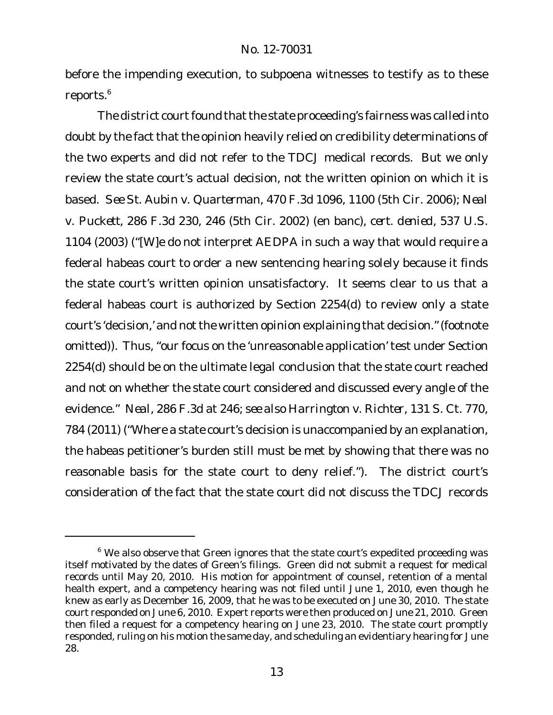before the impending execution, to subpoena witnesses to testify as to these reports.<sup>6</sup>

The district court found that the state proceeding's fairness was called into doubt by the fact that the opinion heavily relied on credibility determinations of the two experts and did not refer to the TDCJ medical records. But we only review the state court's actual decision, not the written opinion on which it is based. *See St. Aubin v. Quarterman*, 470 F.3d 1096, 1100 (5th Cir. 2006); *Neal v. Puckett*, 286 F.3d 230, 246 (5th Cir. 2002) (en banc), *cert. denied*, 537 U.S. 1104 (2003) ("[W]e do not interpret AEDPA in such a way that would require a federal habeas court to order a new sentencing hearing solely because it finds the state court's written opinion unsatisfactory. It seems clear to us that a federal habeas court is authorized by Section 2254(d) to review only a state court's 'decision,' and not the written opinion explaining that decision." (footnote omitted)). Thus, "our focus on the 'unreasonable application' test under Section 2254(d) should be on the ultimate legal conclusion that the state court reached and not on whether the state court considered and discussed every angle of the evidence." *Neal*, 286 F.3d at 246; *see also Harrington v. Richter*, 131 S. Ct. 770, 784 (2011) ("Where a state court's decision is unaccompanied by an explanation, the habeas petitioner's burden still must be met by showing that there was no reasonable basis for the state court to deny relief."). The district court's consideration of the fact that the state court did not discuss the TDCJ records

<sup>&</sup>lt;sup>6</sup> We also observe that Green ignores that the state court's expedited proceeding was itself motivated by the dates of Green's filings. Green did not submit a request for medical records until May 20, 2010. His motion for appointment of counsel, retention of a mental health expert, and a competency hearing was not filed until June 1, 2010, even though he knew as early as December 16, 2009, that he was to be executed on June 30, 2010. The state court responded on June 6, 2010. Expert reports were then produced on June 21, 2010. Green then filed a request for a competency hearing on June 23, 2010. The state court promptly responded, ruling on his motion the same day, and scheduling an evidentiary hearing for June 28.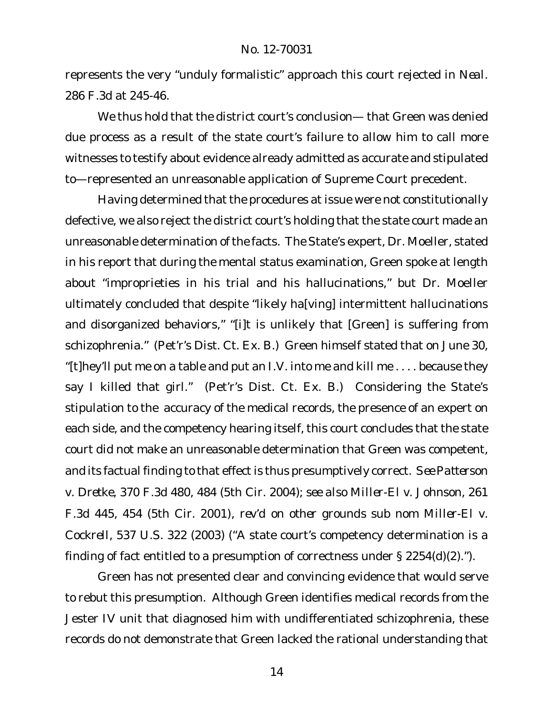represents the very "unduly formalistic" approach this court rejected in *Neal*. 286 F.3d at 245-46.

We thus hold that the district court's conclusion— that Green was denied due process as a result of the state court's failure to allow him to call more witnesses to testify about evidence already admitted as accurate and stipulated to—represented an unreasonable application of Supreme Court precedent.

Having determined that the procedures at issue were not constitutionally defective, we also reject the district court's holding that the state court made an unreasonable determination of the facts. The State's expert, Dr. Moeller, stated in his report that during the mental status examination, Green spoke at length about "improprieties in his trial and his hallucinations," but Dr. Moeller ultimately concluded that despite "likely ha[ving] intermittent hallucinations and disorganized behaviors," "[i]t is unlikely that [Green] is suffering from schizophrenia." (Pet'r's Dist. Ct. Ex. B.) Green himself stated that on June 30, "[t]hey'll put me on a table and put an I.V. into me and kill me  $\dots$  because they say I killed that girl." (Pet'r's Dist. Ct. Ex. B.) Considering the State's stipulation to the accuracy of the medical records, the presence of an expert on each side, and the competency hearing itself, this court concludes that the state court did not make an unreasonable determination that Green was competent, and its factual finding to that effect is thus presumptively correct. *See Patterson v. Dretke*, 370 F.3d 480, 484 (5th Cir. 2004); *see also Miller-El v. Johnson*, 261 F.3d 445, 454 (5th Cir. 2001), *rev'd on other grounds sub nom Miller-El v. Cockrell*, 537 U.S. 322 (2003) ("A state court's competency determination is a finding of fact entitled to a presumption of correctness under § 2254(d)(2).").

Green has not presented clear and convincing evidence that would serve to rebut this presumption. Although Green identifies medical records from the Jester IV unit that diagnosed him with undifferentiated schizophrenia, these records do not demonstrate that Green lacked the rational understanding that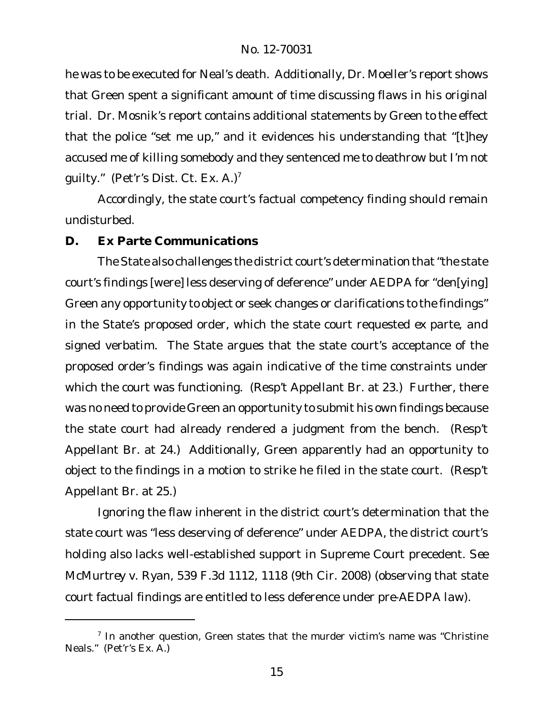he was to be executed for Neal's death. Additionally, Dr. Moeller's report shows that Green spent a significant amount of time discussing flaws in his original trial. Dr. Mosnik's report contains additional statements by Green to the effect that the police "set me up," and it evidences his understanding that "[t]hey accused me of killing somebody and they sentenced me to deathrow but I'm not quilty." (Pet'r's Dist. Ct. Ex. A.)<sup>7</sup>

Accordingly, the state court's factual competency finding should remain undisturbed.

**D. Ex Parte Communications**

The State also challenges the district court's determination that "the state court's findings [were] less deserving of deference" under AEDPA for "den[ying] Green any opportunity to object or seek changes or clarifications to the findings" in the State's proposed order, which the state court requested *ex parte*, and signed verbatim. The State argues that the state court's acceptance of the proposed order's findings was again indicative of the time constraints under which the court was functioning. (Resp't Appellant Br. at 23.) Further, there was no need to provide Green an opportunity to submit his own findings because the state court had already rendered a judgment from the bench. (Resp't Appellant Br. at 24.) Additionally, Green apparently had an opportunity to object to the findings in a motion to strike he filed in the state court. (Resp't Appellant Br. at 25.)

Ignoring the flaw inherent in the district court's determination that the state court was "less deserving of deference" under AEDPA, the district court's holding also lacks well-established support in Supreme Court precedent. *See McMurtrey v. Ryan*, 539 F.3d 1112, 1118 (9th Cir. 2008) (observing that state court factual findings are entitled to less deference under *pre-AEDPA law*).

<sup>&</sup>lt;sup>7</sup> In another question, Green states that the murder victim's name was "Christine Neals." (Pet'r's Ex. A.)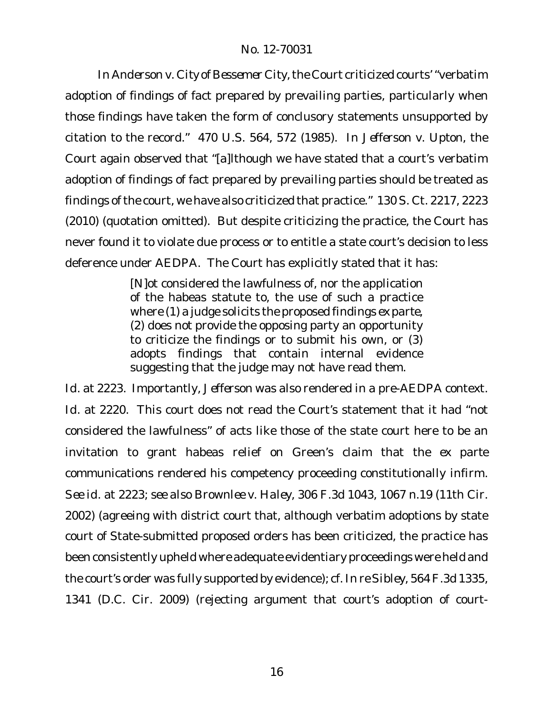In Anderson **v.** City of Bessemer City, the Court criticized courts' "verbatim adoption of findings of fact prepared by prevailing parties, particularly when those findings have taken the form of conclusory statements unsupported by citation to the record." 470 U.S. 564, 572 (1985). In *Jefferson v. Upton*, the Court again observed that "[a]lthough we have stated that a court's verbatim adoption of findings of fact prepared by prevailing parties should be treated as findings of the court, we have also criticized that practice." 130 S. Ct. 2217, 2223 (2010) (quotation omitted). But despite criticizing the practice, the Court has never found it to violate due process or to entitle a state court's decision to less deference under AEDPA. The Court has explicitly stated that it has:

> [N]ot considered the lawfulness of, nor the application of the habeas statute to, the use of such a practice where (1) a judge solicits the proposed findings *ex parte*, (2) does not provide the opposing party an opportunity to criticize the findings or to submit his own, or (3) adopts findings that contain internal evidence suggesting that the judge may not have read them.

*Id.* at 2223. Importantly, *Jefferson* was also rendered in a pre-AEDPA context. *Id.* at 2220. This court does not read the Court's statement that it had "not considered the lawfulness" of acts like those of the state court here to be an invitation to grant habeas relief on Green's claim that the *ex parte* communications rendered his competency proceeding constitutionally infirm. *See id.* at 2223; *see also Brownlee v. Haley*, 306 F.3d 1043, 1067 n.19 (11th Cir. 2002) (agreeing with district court that, although verbatim adoptions by state court of State-submitted proposed orders has been criticized, the practice has been consistently upheld where adequate evidentiary proceedings were held and the court's order was fully supported by evidence); *cf. In re Sibley*, 564 F.3d 1335, 1341 (D.C. Cir. 2009) (rejecting argument that court's adoption of court-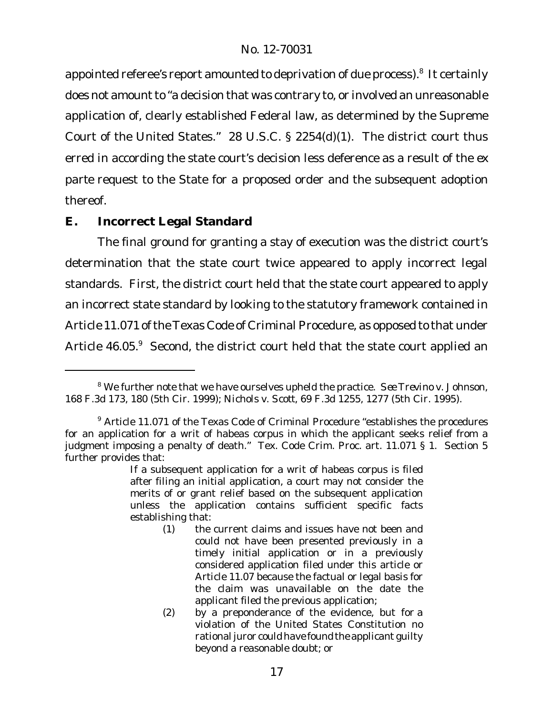appointed referee's report amounted to deprivation of due process). $^8\,$  It certainly does not amount to "a decision that was contrary to, or involved an unreasonable application of, clearly established Federal law, as determined by the Supreme Court of the United States." 28 U.S.C. § 2254(d)(1). The district court thus erred in according the state court's decision less deference as a result of the *ex parte* request to the State for a proposed order and the subsequent adoption thereof.

# **E. Incorrect Legal Standard**

The final ground for granting a stay of execution was the district court's determination that the state court twice appeared to apply incorrect legal standards. First, the district court held that the state court appeared to apply an incorrect state standard by looking to the statutory framework contained in Article 11.071 of the Texas Code of Criminal Procedure, as opposed to that under Article 46.05.9 Second, the district court held that the state court applied an

<sup>8</sup> We further note that we have ourselves upheld the practice. *See Trevino v. Johnson*, 168 F.3d 173, 180 (5th Cir. 1999); *Nichols v. Scott*, 69 F.3d 1255, 1277 (5th Cir. 1995).

<sup>&</sup>lt;sup>9</sup> Article 11.071 of the Texas Code of Criminal Procedure "establishes the procedures for an application for a writ of habeas corpus in which the applicant seeks relief from a judgment imposing a penalty of death." Tex. Code Crim. Proc. art. 11.071 § 1. Section 5 further provides that:

If a subsequent application for a writ of habeas corpus is filed after filing an initial application, a court may not consider the merits of or grant relief based on the subsequent application unless the application contains sufficient specific facts establishing that:

<sup>(1)</sup> the current claims and issues have not been and could not have been presented previously in a timely initial application or in a previously considered application filed under this article or Article 11.07 because the factual or legal basis for the claim was unavailable on the date the applicant filed the previous application;

<sup>(2)</sup> by a preponderance of the evidence, but for a violation of the United States Constitution no rational juror could have found the applicant quilty beyond a reasonable doubt; or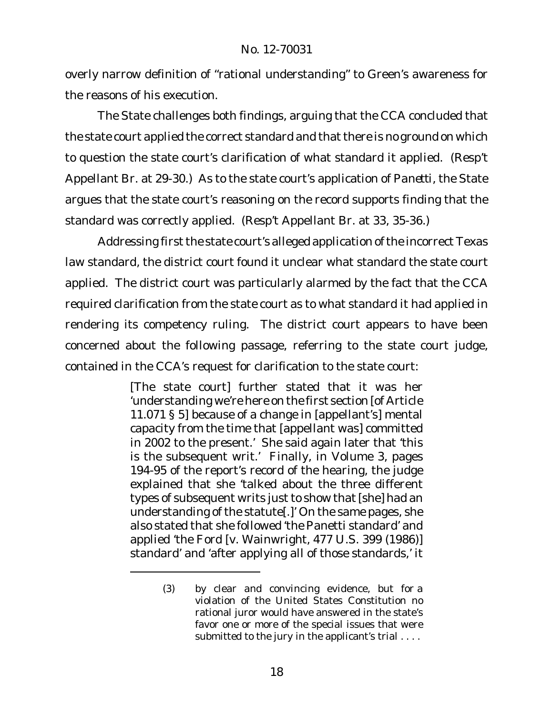overly narrow definition of "rational understanding" to Green's awareness for the reasons of his execution.

The State challenges both findings, arguing that the CCA concluded that the state court applied the correct standard and that there is no ground on which to question the state court's clarification of what standard it applied. (Resp't Appellant Br. at 29-30.) As to the state court's application of *Panetti*, the State argues that the state court's reasoning on the record supports finding that the standard was correctly applied. (Resp't Appellant Br. at 33, 35-36.)

Addressing first the state court's alleged application of the incorrect Texas law standard, the district court found it unclear what standard the state court applied. The district court was particularly alarmed by the fact that the CCA required clarification from the state court as to what standard it had applied in rendering its competency ruling. The district court appears to have been concerned about the following passage, referring to the state court judge, contained in the CCA's request for clarification to the state court:

> [The state court] further stated that it was her 'understanding we're here on the first section [of Article 11.071 § 5] because of a change in [appellant's] mental capacity from the time that [appellant was] committed in 2002 to the present.' She said again later that 'this is the subsequent writ.' Finally, in Volume 3, pages 194-95 of the report's record of the hearing, the judge explained that she 'talked about the three different types of subsequent writs just to show that [she] had an understanding of the statute[.]' On the same pages, she also stated that she followed 'the Panetti standard' and applied 'the Ford [v. Wainwright, 477 U.S. 399 (1986)] standard' and 'after applying all of those standards,' it

<sup>(3)</sup> by clear and convincing evidence, but for a violation of the United States Constitution no rational juror would have answered in the state's favor one or more of the special issues that were submitted to the jury in the applicant's trial ....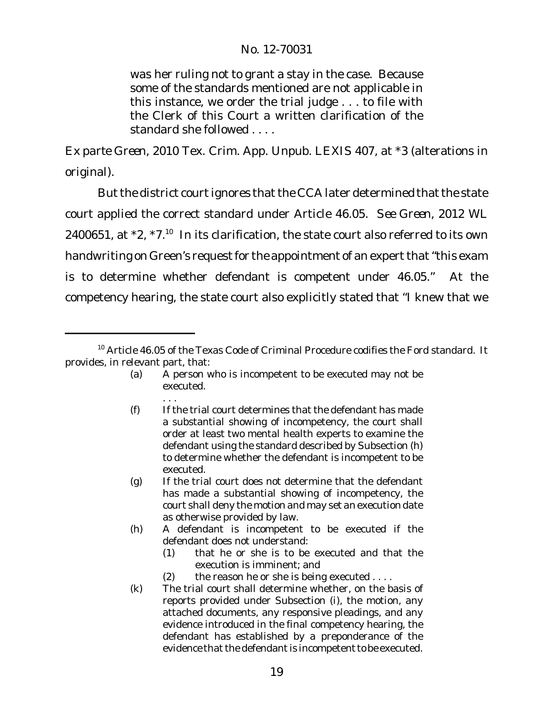was her ruling not to grant a stay in the case. Because some of the standards mentioned are not applicable in this instance, we order the trial judge . . . to file with the Clerk of this Court a written clarification of the standard she followed . . . .

*Ex parte Green*, 2010 Tex. Crim. App. Unpub. LEXIS 407, at \*3 (alterations in original).

But the district courtignores that the CCA later determined that the state court applied the correct standard under Article 46.05. *See Green*, 2012 WL 2400651, at  $*2$ ,  $*7$ .<sup>10</sup> In its clarification, the state court also referred to its own handwriting on Green's request for the appointment of an expert that "this exam is to determine whether defendant is competent under 46.05." At the competency hearing, the state court also explicitly stated that "I knew that we

<sup>10</sup> Article 46.05 of the Texas Code of Criminal Procedure codifies the *Ford* standard. It provides, in relevant part, that:

<sup>(</sup>a) A person who is incompetent to be executed may not be executed.

<sup>. . .</sup> (f) If the trial court determines that the defendant has made a substantial showing of incompetency, the court shall order at least two mental health experts to examine the defendant using the standard described by Subsection (h) to determine whether the defendant is incompetent to be executed.

<sup>(</sup>g) If the trial court does not determine that the defendant has made a substantial showing of incompetency, the court shall deny the motion and may set an execution date as otherwise provided by law.

<sup>(</sup>h) A defendant is incompetent to be executed if the defendant does not understand:

<sup>(1)</sup> that he or she is to be executed and that the execution is imminent; and

<sup>(2)</sup> the reason he or she is being executed  $\dots$ 

<sup>(</sup>k) The trial court shall determine whether, on the basis of reports provided under Subsection (i), the motion, any attached documents, any responsive pleadings, and any evidence introduced in the final competency hearing, the defendant has established by a preponderance of the evidence that the defendant is incompetent to be executed.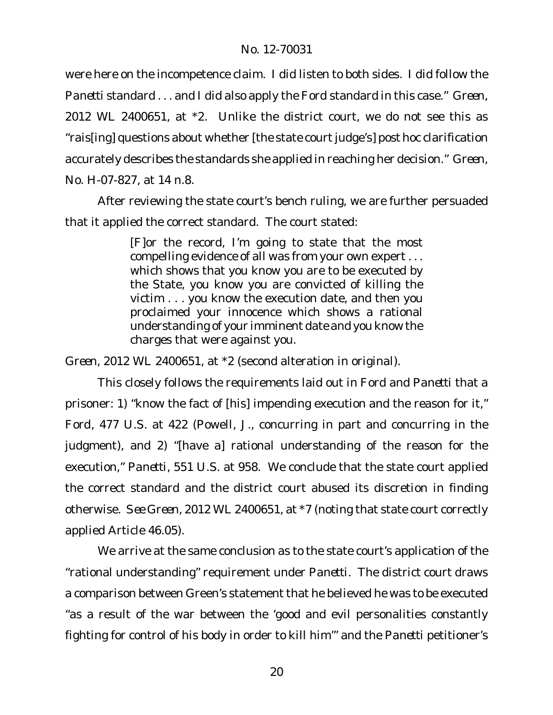were here on the incompetence claim. I did listen to both sides. I did follow the *Panetti* standard . . . and I did also apply the *Ford* standard in this case." *Green*, 2012 WL 2400651, at \*2. Unlike the district court, we do not see this as "rais[ing] questions about whether [the state courtjudge's] *post hoc* clarification accurately describes the standards she applied in reaching her decision." *Green*, No. H-07-827, at 14 n.8.

After reviewing the state court's bench ruling, we are further persuaded that it applied the correct standard. The court stated:

> [F]or the record, I'm going to state that the most compelling evidence of all was from your own expert . . . which shows that you know you are to be executed by the State, you know you are convicted of killing the victim . . . you know the execution date, and then you proclaimed your innocence which shows a rational understanding of your imminent date and you know the charges that were against you.

*Green*, 2012 WL 2400651, at \*2 (second alteration in original).

This closely follows the requirements laid out in *Ford* and *Panetti* that a prisoner: 1) "know the fact of [his] impending execution and the reason for it," *Ford*, 477 U.S. at 422 (Powell, J., concurring in part and concurring in the judgment), and 2) "[have a] rational understanding of the reason for the execution," *Panetti*, 551 U.S. at 958. We conclude that the state court applied the correct standard and the district court abused its discretion in finding otherwise. *See Green*, 2012 WL 2400651, at \*7 (noting that state court correctly applied Article 46.05).

We arrive at the same conclusion as to the state court's application of the "rational understanding" requirement under *Panetti*. The district court draws a comparison between Green's statement that he believed he was to be executed "as a result of the war between the 'good and evil personalities constantly fighting for control of his body in order to kill him'" and the *Panetti* petitioner's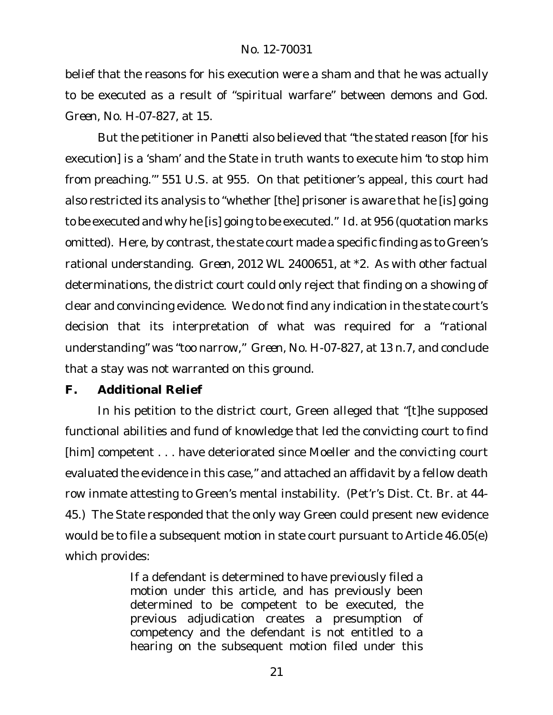belief that the reasons for his execution were a sham and that he was actually to be executed as a result of "spiritual warfare" between demons and God. *Green*, No. H-07-827, at 15.

But the petitioner in *Panetti* also believed that "the stated reason [for his execution] is a 'sham' and the State in truth wants to execute him 'to stop him from preaching.'" 551 U.S. at 955. On that petitioner's appeal, this court had also restricted its analysis to "whether [the] prisoner is aware that he [is] going to be executed and why he [is] going to be executed." *Id.* at 956 (quotation marks omitted). Here, by contrast, the state court made a specific finding as to Green's rational understanding. *Green*, 2012 WL 2400651, at \*2. As with other factual determinations, the district court could only reject that finding on a showing of clear and convincing evidence. We do not find any indication in the state court's decision that its interpretation of what was required for a "rational understanding" was "too narrow," *Green*, No. H-07-827, at 13 n.7, and conclude that a stay was not warranted on this ground.

**F. Additional Relief**

In his petition to the district court, Green alleged that "[t]he supposed functional abilities and fund of knowledge that led the convicting court to find [him] competent . . . have deteriorated since Moeller and the convicting court evaluated the evidence in this case," and attached an affidavit by a fellow death row inmate attesting to Green's mental instability. (Pet'r's Dist. Ct. Br. at 44- 45.) The State responded that the only way Green could present new evidence would be to file a subsequent motion in state court pursuant to Article 46.05(e) which provides:

> If a defendant is determined to have previously filed a motion under this article, and has previously been determined to be competent to be executed, the previous adjudication creates a presumption of competency and the defendant is not entitled to a hearing on the subsequent motion filed under this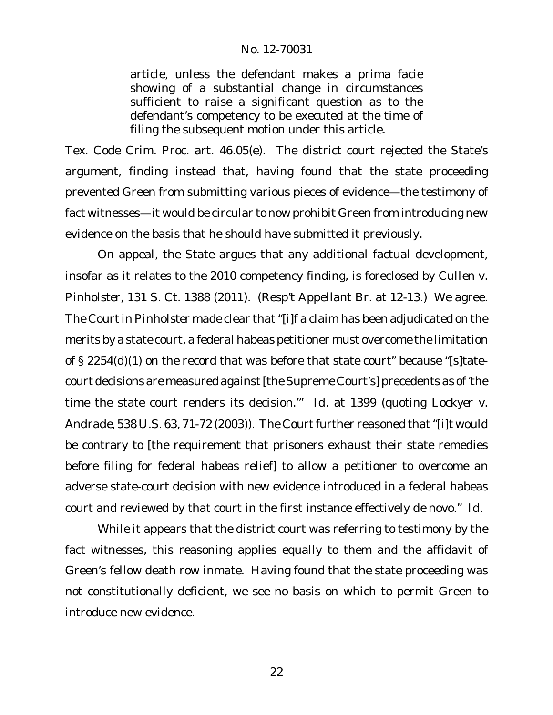article, unless the defendant makes a prima facie showing of a substantial change in circumstances sufficient to raise a significant question as to the defendant's competency to be executed at the time of filing the subsequent motion under this article.

Tex. Code Crim. Proc. art. 46.05(e). The district court rejected the State's argument, finding instead that, having found that the state proceeding prevented Green from submitting various pieces of evidence—the testimony of fact witnesses—it would be circular to now prohibit Green from introducing new evidence on the basis that he should have submitted it previously.

On appeal, the State argues that any additional factual development, insofar as it relates to the 2010 competency finding, is foreclosed by *Cullen v. Pinholster*, 131 S. Ct. 1388 (2011). (Resp't Appellant Br. at 12-13.) We agree. The Courtin *Pinholster* made clear that "[i]f a claim has been adjudicated on the merits by a state court, a federal habeas petitioner must overcome the limitation of § 2254(d)(1) on the record that was before that state court" because "[s]tatecourt decisions are measured against[the Supreme Court's] precedents as of 'the time the state court renders its decision.'" *Id.* at 1399 (quoting *Lockyer v. Andrade*, 538 U.S. 63, 71-72 (2003)). The Court further reasoned that "[i]t would be contrary to [the requirement that prisoners exhaust their state remedies before filing for federal habeas relief] to allow a petitioner to overcome an adverse state-court decision with new evidence introduced in a federal habeas court and reviewed by that court in the first instance effectively *de novo*." *Id.*

While it appears that the district court was referring to testimony by the fact witnesses, this reasoning applies equally to them and the affidavit of Green's fellow death row inmate. Having found that the state proceeding was not constitutionally deficient, we see no basis on which to permit Green to introduce new evidence.

22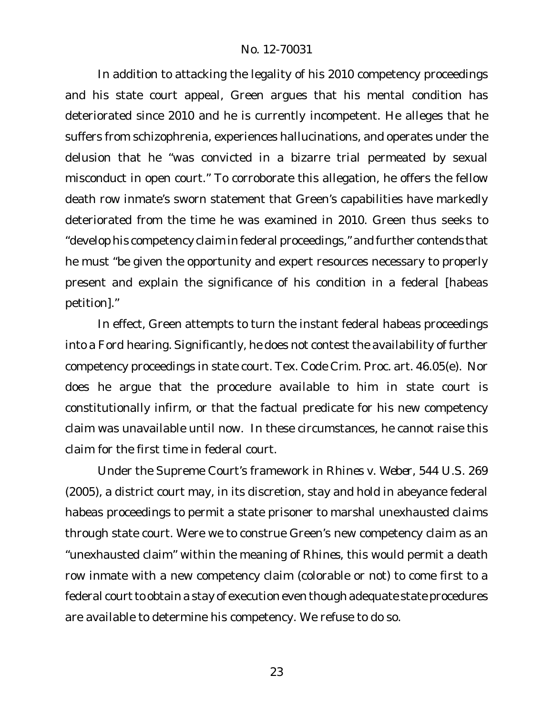In addition to attacking the legality of his 2010 competency proceedings and his state court appeal, Green argues that his mental condition has deteriorated since 2010 and he is currently incompetent. He alleges that he suffers from schizophrenia, experiences hallucinations, and operates under the delusion that he "was convicted in a bizarre trial permeated by sexual misconduct in open court." To corroborate this allegation, he offers the fellow death row inmate's sworn statement that Green's capabilities have markedly deteriorated from the time he was examined in 2010. Green thus seeks to "develop his competency claim in federal proceedings," and further contends that he must "be given the opportunity and expert resources necessary to properly present and explain the significance of his condition in a federal [habeas petition]."

In effect, Green attempts to turn the instant federal habeas proceedings into a *Ford* hearing. Significantly, he does not contest the availability of further competency proceedings in state court. Tex. Code Crim. Proc. art. 46.05(e). Nor does he argue that the procedure available to him in state court is constitutionally infirm, or that the factual predicate for his new competency claim was unavailable until now. In these circumstances, he cannot raise this claim for the first time in federal court.

Under the Supreme Court's framework in *Rhines v. Weber*, 544 U.S. 269 (2005), a district court may, in its discretion, stay and hold in abeyance federal habeas proceedings to permit a state prisoner to marshal unexhausted claims through state court. Were we to construe Green's new competency claim as an "unexhausted claim" within the meaning of *Rhines*, this would permit a death row inmate with a new competency claim (colorable or not) to come first to a federal court to obtain a stay of execution even though adequate state procedures are available to determine his competency. We refuse to do so.

23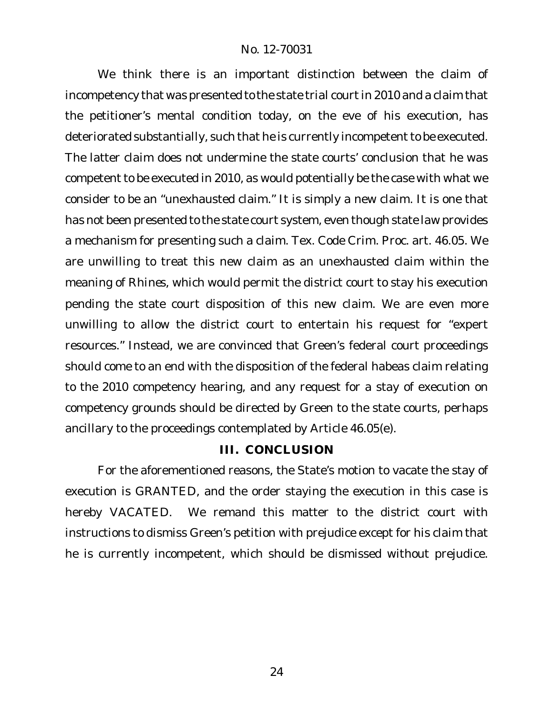We think there is an important distinction between the claim of incompetency that was presented to the state trial court in 2010 and a claim that the petitioner's mental condition today, on the eve of his execution, has deteriorated substantially, such that he is currently incompetent to be executed. The latter claim does not undermine the state courts' conclusion that he was competent to be executed in 2010, as would potentially be the case with what we consider to be an "unexhausted claim." It is simply a new claim. It is one that has not been presented to the state court system, even though state law provides a mechanism for presenting such a claim. Tex. Code Crim. Proc. art. 46.05. We are unwilling to treat this new claim as an unexhausted claim within the meaning of *Rhines*, which would permit the district court to stay his execution pending the state court disposition of this new claim. We are even more unwilling to allow the district court to entertain his request for "expert resources." Instead, we are convinced that Green's federal court proceedings should come to an end with the disposition of the federal habeas claim relating to the 2010 competency hearing, and any request for a stay of execution on competency grounds should be directed by Green to the state courts, perhaps ancillary to the proceedings contemplated by Article 46.05(e).

## **III. CONCLUSION**

For the aforementioned reasons, the State's motion to vacate the stay of execution is GRANTED, and the order staying the execution in this case is hereby VACATED. We remand this matter to the district court with instructions to dismiss Green's petition with prejudice except for his claim that he is currently incompetent, which should be dismissed without prejudice.

24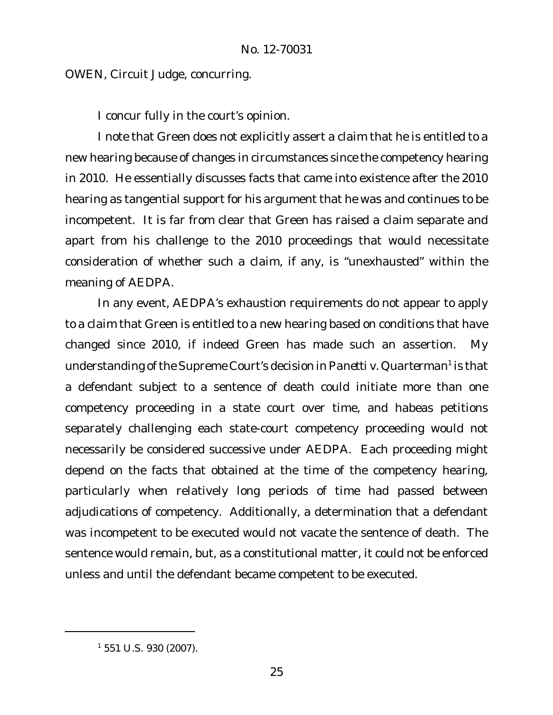OWEN, Circuit Judge, concurring.

I concur fully in the court's opinion.

I note that Green does not explicitly assert a claim that he is entitled to a new hearing because of changes in circumstances since the competency hearing in 2010. He essentially discusses facts that came into existence after the 2010 hearing as tangential support for his argument that he was and continues to be incompetent. It is far from clear that Green has raised a claim separate and apart from his challenge to the 2010 proceedings that would necessitate consideration of whether such a claim, if any, is "unexhausted" within the meaning of AEDPA.

In any event, AEDPA's exhaustion requirements do not appear to apply to a claim that Green is entitled to a new hearing based on conditions that have changed since 2010, if indeed Green has made such an assertion. My understanding ofthe Supreme Court's decision in*Panetti v. Quarterman*<sup>1</sup> is that a defendant subject to a sentence of death could initiate more than one competency proceeding in a state court over time, and habeas petitions separately challenging each state-court competency proceeding would not necessarily be considered successive under AEDPA. Each proceeding might depend on the facts that obtained at the time of the competency hearing, particularly when relatively long periods of time had passed between adjudications of competency. Additionally, a determination that a defendant was incompetent to be executed would not vacate the sentence of death. The sentence would remain, but, as a constitutional matter, it could not be enforced unless and until the defendant became competent to be executed.

<sup>1</sup> 551 U.S. 930 (2007).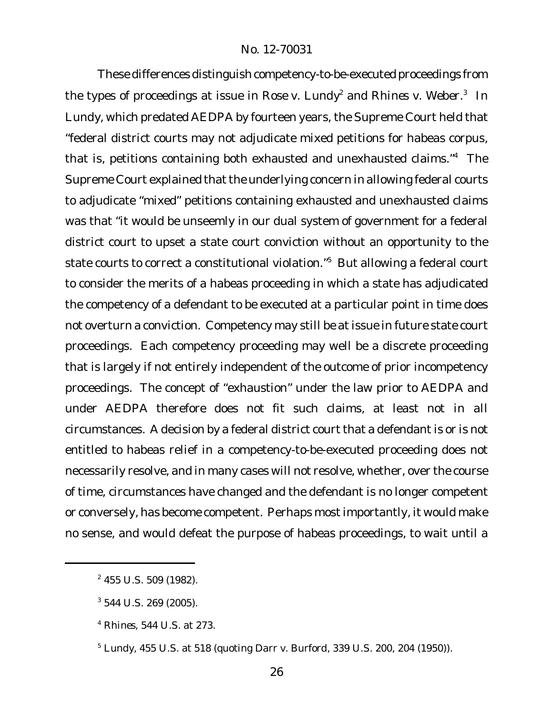These differences distinguish competency-to-be-executed proceedings from the types of proceedings at issue in *Rose v. Lundy*<sup>2</sup> and *Rhines v. Weber*. 3 In *Lundy*, which predated AEDPA by fourteen years, the Supreme Court held that "federal district courts may not adjudicate mixed petitions for habeas corpus, that is, petitions containing both exhausted and unexhausted claims."<sup>4</sup> The Supreme Court explained that the underlying concern in allowing federal courts to adjudicate "mixed" petitions containing exhausted and unexhausted claims was that "it would be unseemly in our dual system of government for a federal district court to upset a state court conviction without an opportunity to the state courts to correct a constitutional violation."<sup>5</sup> But allowing a federal court to consider the merits of a habeas proceeding in which a state has adjudicated the competency of a defendant to be executed at a particular point in time does not overturn a conviction. Competency may still be at issue in future state court proceedings. Each competency proceeding may well be a discrete proceeding that is largely if not entirely independent of the outcome of prior incompetency proceedings. The concept of "exhaustion" under the law prior to AEDPA and under AEDPA therefore does not fit such claims, at least not in all circumstances. A decision by a federal district court that a defendant is or is not entitled to habeas relief in a competency-to-be-executed proceeding does not necessarily resolve, and in many cases will not resolve, whether, over the course of time, circumstances have changed and the defendant is no longer competent or conversely, has become competent. Perhaps most importantly, it would make no sense, and would defeat the purpose of habeas proceedings, to wait until a

<sup>2</sup> 455 U.S. 509 (1982).

<sup>3</sup> 544 U.S. 269 (2005).

<sup>4</sup> *Rhines*, 544 U.S. at 273.

<sup>5</sup> *Lundy*, 455 U.S. at 518 (quoting *Darr v. Burford*, 339 U.S. 200, 204 (1950)).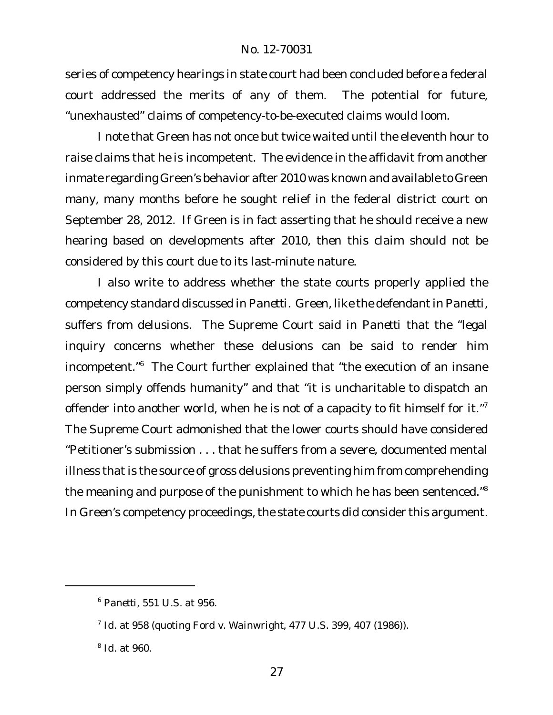series of competency hearings in state court had been concluded before a federal court addressed the merits of any of them. The potential for future, "unexhausted" claims of competency-to-be-executed claims would loom.

I note that Green has not once but twice waited until the eleventh hour to raise claims that he is incompetent. The evidence in the affidavit from another inmate regarding Green's behavior after 2010 was known and available to Green many, many months before he sought relief in the federal district court on September 28, 2012. If Green is in fact asserting that he should receive a new hearing based on developments after 2010, then this claim should not be considered by this court due to its last-minute nature.

I also write to address whether the state courts properly applied the competency standard discussed in *Panetti*. Green, like the defendant in *Panetti*, suffers from delusions. The Supreme Court said in *Panetti* that the "legal inquiry concerns whether these delusions can be said to render him incompetent."<sup>6</sup> The Court further explained that "the execution of an insane person simply offends humanity" and that "it is uncharitable to dispatch an offender into another world, when he is not of a capacity to fit himself for it."<sup>7</sup> The Supreme Court admonished that the lower courts should have considered "Petitioner's submission . . . that he suffers from a severe, documented mental illness that is the source of gross delusions preventing him from comprehending the meaning and purpose of the punishment to which he has been sentenced."<sup>8</sup> In Green's competency proceedings, the state courts did consider this argument.

<sup>6</sup> *Panetti*, 551 U.S. at 956.

<sup>7</sup> *Id*. at 958 (quoting *Ford v. Wainwright*, 477 U.S. 399, 407 (1986)).

<sup>8</sup> *Id*. at 960.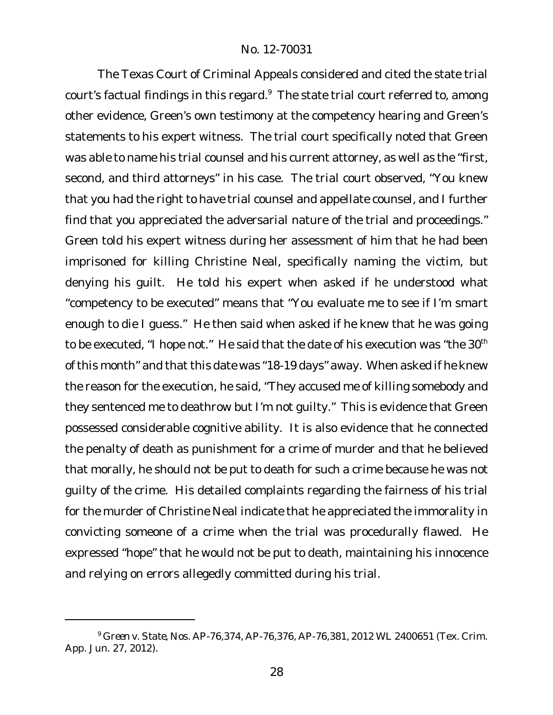The Texas Court of Criminal Appeals considered and cited the state trial court's factual findings in this regard.<sup>9</sup> The state trial court referred to, among other evidence, Green's own testimony at the competency hearing and Green's statements to his expert witness. The trial court specifically noted that Green was able to name his trial counsel and his current attorney, as well as the "first, second, and third attorneys" in his case. The trial court observed, "You knew that you had the right to have trial counsel and appellate counsel, and I further find that you appreciated the adversarial nature of the trial and proceedings." Green told his expert witness during her assessment of him that he had been imprisoned for killing Christine Neal, specifically naming the victim, but denying his guilt. He told his expert when asked if he understood what "competency to be executed" means that "You evaluate me to see if I'm smart enough to die I guess." He then said when asked if he knew that he was going to be executed, "I hope not." He said that the date of his execution was "the 30<sup>th</sup> of this month" and that this date was "18-19 days" away. When asked if he knew the reason for the execution, he said, "They accused me of killing somebody and they sentenced me to deathrow but I'm not guilty." This is evidence that Green possessed considerable cognitive ability. It is also evidence that he connected the penalty of death as punishment for a crime of murder and that he believed that morally, he should not be put to death for such a crime because he was not guilty of the crime. His detailed complaints regarding the fairness of his trial for the murder of Christine Neal indicate that he appreciated the immorality in convicting someone of a crime when the trial was procedurally flawed. He expressed "hope" that he would not be put to death, maintaining his innocence and relying on errors allegedly committed during his trial.

<sup>9</sup> *Green v. State*, Nos. AP-76,374, AP-76,376, AP-76,381, 2012 WL 2400651 (Tex. Crim. App. Jun. 27, 2012).